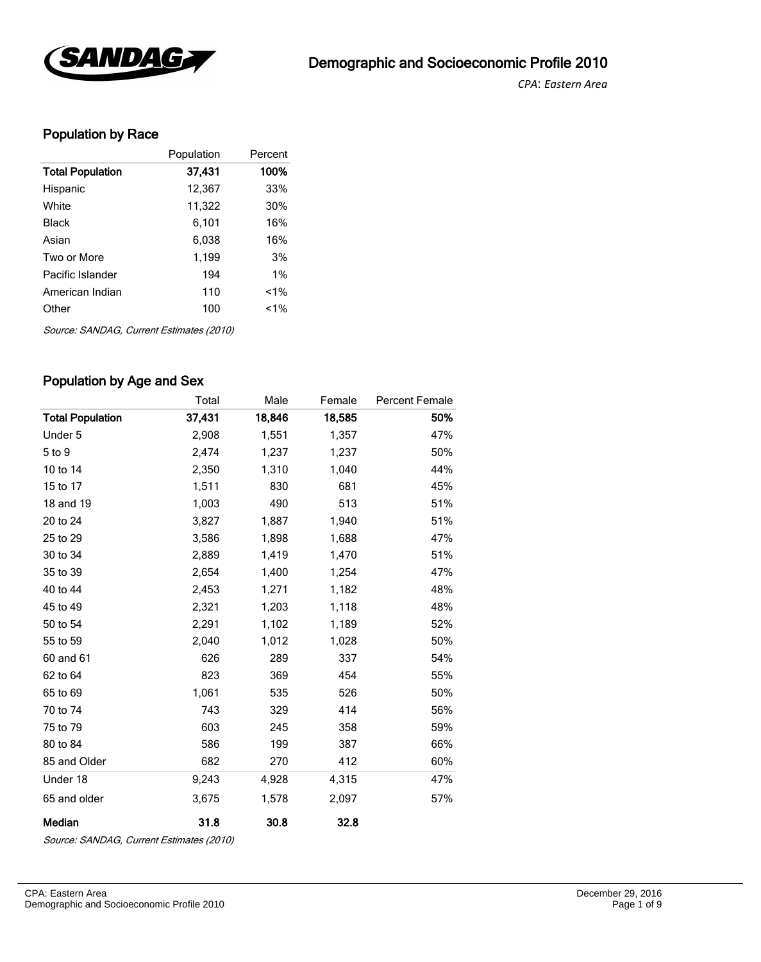

*CPA*: *Eastern Area* 

## Population by Race

|                         | Population | Percent |
|-------------------------|------------|---------|
| <b>Total Population</b> | 37,431     | 100%    |
| Hispanic                | 12,367     | 33%     |
| White                   | 11,322     | 30%     |
| <b>Black</b>            | 6,101      | 16%     |
| Asian                   | 6,038      | 16%     |
| Two or More             | 1,199      | 3%      |
| Pacific Islander        | 194        | $1\%$   |
| American Indian         | 110        | $1\%$   |
| Other                   | 100        | $1\%$   |
|                         |            |         |

Source: SANDAG, Current Estimates (2010)

#### Population by Age and Sex

|                         | Total  | Male   | Female | <b>Percent Female</b> |
|-------------------------|--------|--------|--------|-----------------------|
| <b>Total Population</b> | 37,431 | 18,846 | 18,585 | 50%                   |
| Under 5                 | 2,908  | 1,551  | 1,357  | 47%                   |
| 5 to 9                  | 2,474  | 1,237  | 1,237  | 50%                   |
| 10 to 14                | 2,350  | 1,310  | 1,040  | 44%                   |
| 15 to 17                | 1,511  | 830    | 681    | 45%                   |
| 18 and 19               | 1,003  | 490    | 513    | 51%                   |
| 20 to 24                | 3,827  | 1,887  | 1,940  | 51%                   |
| 25 to 29                | 3,586  | 1,898  | 1,688  | 47%                   |
| 30 to 34                | 2,889  | 1,419  | 1,470  | 51%                   |
| 35 to 39                | 2,654  | 1,400  | 1,254  | 47%                   |
| 40 to 44                | 2,453  | 1,271  | 1,182  | 48%                   |
| 45 to 49                | 2,321  | 1,203  | 1,118  | 48%                   |
| 50 to 54                | 2,291  | 1,102  | 1,189  | 52%                   |
| 55 to 59                | 2,040  | 1,012  | 1,028  | 50%                   |
| 60 and 61               | 626    | 289    | 337    | 54%                   |
| 62 to 64                | 823    | 369    | 454    | 55%                   |
| 65 to 69                | 1,061  | 535    | 526    | 50%                   |
| 70 to 74                | 743    | 329    | 414    | 56%                   |
| 75 to 79                | 603    | 245    | 358    | 59%                   |
| 80 to 84                | 586    | 199    | 387    | 66%                   |
| 85 and Older            | 682    | 270    | 412    | 60%                   |
| Under 18                | 9,243  | 4,928  | 4,315  | 47%                   |
| 65 and older            | 3,675  | 1,578  | 2,097  | 57%                   |
| Median                  | 31.8   | 30.8   | 32.8   |                       |

Source: SANDAG, Current Estimates (2010)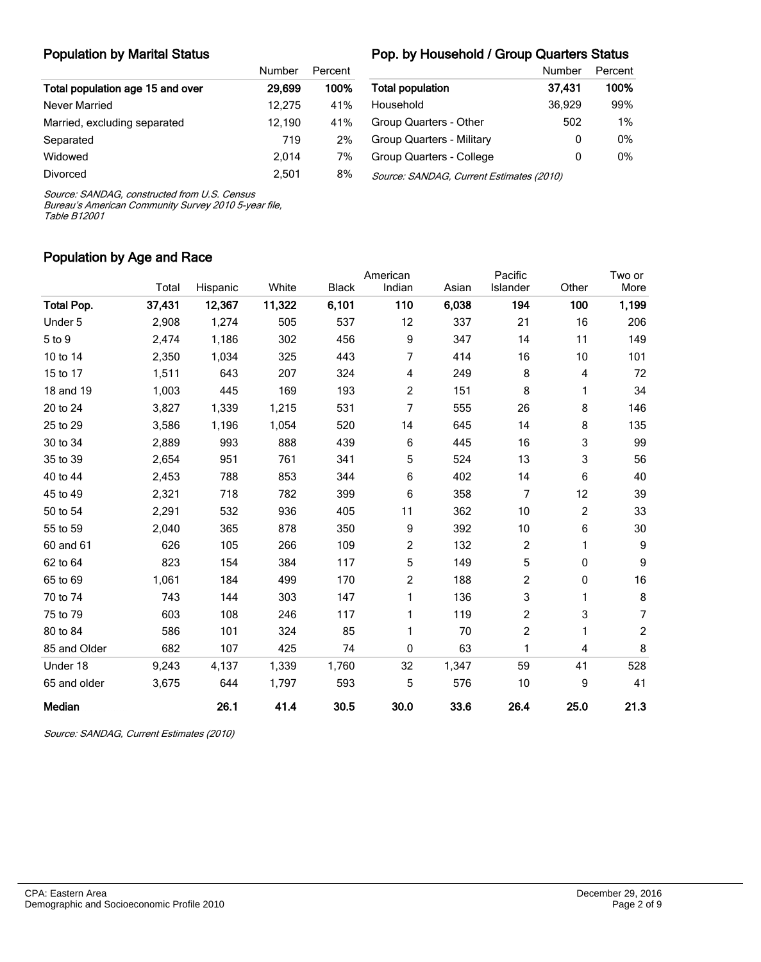## Population by Marital Status

#### Pop. by Household / Group Quarters Status

|                                  | Number | Percent |
|----------------------------------|--------|---------|
| Total population age 15 and over | 29,699 | 100%    |
| Never Married                    | 12.275 | 41%     |
| Married, excluding separated     | 12,190 | 41%     |
| Separated                        | 719    | 2%      |
| Widowed                          | 2.014  | 7%      |
| Divorced                         | 2.501  | 8%      |

|                                          | Number | Percent |
|------------------------------------------|--------|---------|
| <b>Total population</b>                  | 37.431 | 100%    |
| Household                                | 36,929 | 99%     |
| Group Quarters - Other                   | 502    | $1\%$   |
| Group Quarters - Military                | 0      | $0\%$   |
| Group Quarters - College                 | 0      | 0%      |
| Source: SANDAG, Current Estimates (2010) |        |         |

Source: SANDAG, constructed from U.S. Census

Bureau's American Community Survey 2010 5-year file, Table B12001

#### Population by Age and Race

|                   |        |          |        |              | American       |       | Pacific        |                | Two or           |
|-------------------|--------|----------|--------|--------------|----------------|-------|----------------|----------------|------------------|
|                   | Total  | Hispanic | White  | <b>Black</b> | Indian         | Asian | Islander       | Other          | More             |
| <b>Total Pop.</b> | 37,431 | 12,367   | 11,322 | 6,101        | 110            | 6,038 | 194            | 100            | 1,199            |
| Under 5           | 2,908  | 1,274    | 505    | 537          | 12             | 337   | 21             | 16             | 206              |
| 5 to 9            | 2,474  | 1,186    | 302    | 456          | 9              | 347   | 14             | 11             | 149              |
| 10 to 14          | 2,350  | 1,034    | 325    | 443          | 7              | 414   | 16             | 10             | 101              |
| 15 to 17          | 1,511  | 643      | 207    | 324          | 4              | 249   | 8              | 4              | 72               |
| 18 and 19         | 1,003  | 445      | 169    | 193          | 2              | 151   | 8              | 1              | 34               |
| 20 to 24          | 3,827  | 1,339    | 1,215  | 531          | 7              | 555   | 26             | 8              | 146              |
| 25 to 29          | 3,586  | 1,196    | 1,054  | 520          | 14             | 645   | 14             | 8              | 135              |
| 30 to 34          | 2,889  | 993      | 888    | 439          | 6              | 445   | 16             | 3              | 99               |
| 35 to 39          | 2,654  | 951      | 761    | 341          | 5              | 524   | 13             | 3              | 56               |
| 40 to 44          | 2,453  | 788      | 853    | 344          | 6              | 402   | 14             | 6              | 40               |
| 45 to 49          | 2,321  | 718      | 782    | 399          | 6              | 358   | $\overline{7}$ | 12             | 39               |
| 50 to 54          | 2,291  | 532      | 936    | 405          | 11             | 362   | 10             | $\overline{c}$ | 33               |
| 55 to 59          | 2,040  | 365      | 878    | 350          | 9              | 392   | 10             | 6              | 30               |
| 60 and 61         | 626    | 105      | 266    | 109          | 2              | 132   | 2              | 1              | 9                |
| 62 to 64          | 823    | 154      | 384    | 117          | 5              | 149   | 5              | 0              | $\boldsymbol{9}$ |
| 65 to 69          | 1,061  | 184      | 499    | 170          | $\overline{c}$ | 188   | 2              | 0              | 16               |
| 70 to 74          | 743    | 144      | 303    | 147          | 1              | 136   | 3              | 1              | 8                |
| 75 to 79          | 603    | 108      | 246    | 117          | 1              | 119   | $\overline{c}$ | 3              | 7                |
| 80 to 84          | 586    | 101      | 324    | 85           | 1              | 70    | $\overline{c}$ | 1              | $\overline{c}$   |
| 85 and Older      | 682    | 107      | 425    | 74           | 0              | 63    | 1              | 4              | 8                |
| Under 18          | 9,243  | 4,137    | 1,339  | 1,760        | 32             | 1,347 | 59             | 41             | 528              |
| 65 and older      | 3,675  | 644      | 1,797  | 593          | 5              | 576   | 10             | 9              | 41               |
| <b>Median</b>     |        | 26.1     | 41.4   | 30.5         | 30.0           | 33.6  | 26.4           | 25.0           | 21.3             |

Source: SANDAG, Current Estimates (2010)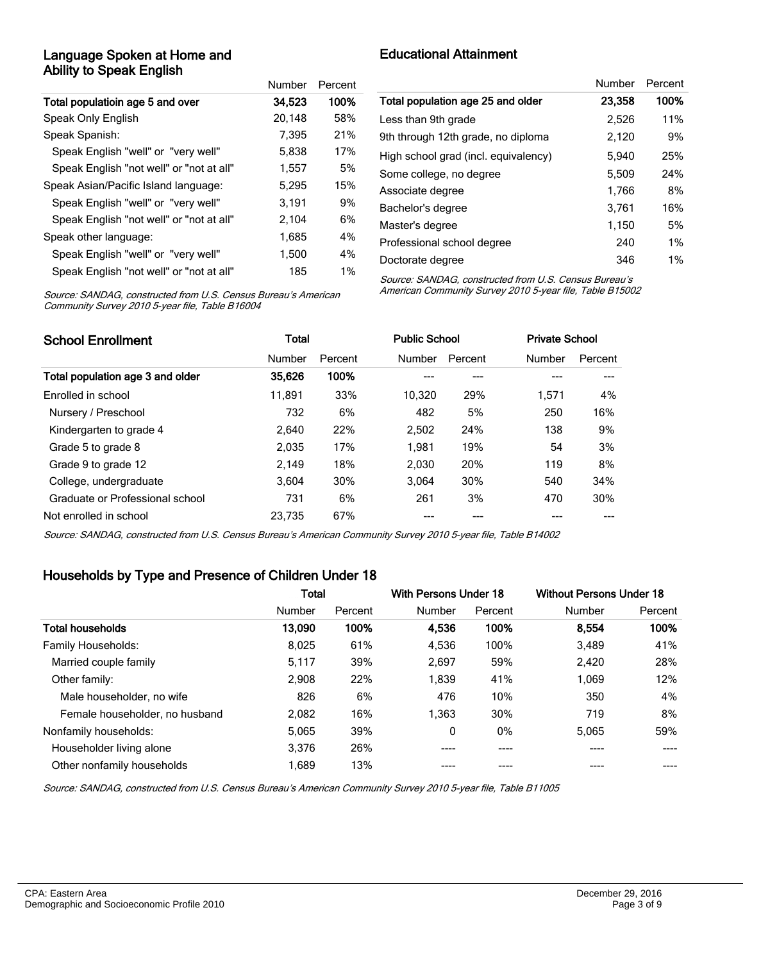#### Language Spoken at Home and Ability to Speak English

|                                          | Number | Percent |
|------------------------------------------|--------|---------|
| Total populatioin age 5 and over         | 34.523 | 100%    |
| Speak Only English                       | 20,148 | 58%     |
| Speak Spanish:                           | 7,395  | 21%     |
| Speak English "well" or "very well"      | 5,838  | 17%     |
| Speak English "not well" or "not at all" | 1,557  | 5%      |
| Speak Asian/Pacific Island language:     | 5,295  | 15%     |
| Speak English "well" or "very well"      | 3.191  | 9%      |
| Speak English "not well" or "not at all" | 2,104  | 6%      |
| Speak other language:                    | 1,685  | 4%      |
| Speak English "well" or "very well"      | 1,500  | 4%      |
| Speak English "not well" or "not at all" | 185    | 1%      |

Educational Attainment

| Number | Percent |
|--------|---------|
| 23,358 | 100%    |
| 2.526  | 11%     |
| 2,120  | 9%      |
| 5.940  | 25%     |
| 5.509  | 24%     |
| 1.766  | 8%      |
| 3.761  | 16%     |
| 1,150  | 5%      |
| 240    | $1\%$   |
| 346    | 1%      |
|        |         |

Source: SANDAG, constructed from U.S. Census Bureau's American Community Survey 2010 5-year file, Table B16004

Source: SANDAG, constructed from U.S. Census Bureau's American Community Survey 2010 5-year file, Table B15002

| <b>School Enrollment</b>         | <b>Total</b> |         |        | <b>Public School</b> |        | <b>Private School</b> |  |
|----------------------------------|--------------|---------|--------|----------------------|--------|-----------------------|--|
|                                  | Number       | Percent | Number | Percent              | Number | Percent               |  |
| Total population age 3 and older | 35,626       | 100%    |        | ---                  |        |                       |  |
| Enrolled in school               | 11.891       | 33%     | 10.320 | 29%                  | 1.571  | 4%                    |  |
| Nursery / Preschool              | 732          | 6%      | 482    | 5%                   | 250    | 16%                   |  |
| Kindergarten to grade 4          | 2.640        | 22%     | 2.502  | 24%                  | 138    | 9%                    |  |
| Grade 5 to grade 8               | 2.035        | 17%     | 1.981  | 19%                  | 54     | 3%                    |  |
| Grade 9 to grade 12              | 2.149        | 18%     | 2.030  | 20%                  | 119    | 8%                    |  |
| College, undergraduate           | 3.604        | 30%     | 3.064  | 30%                  | 540    | 34%                   |  |
| Graduate or Professional school  | 731          | 6%      | 261    | 3%                   | 470    | 30%                   |  |
| Not enrolled in school           | 23.735       | 67%     |        |                      |        |                       |  |

Source: SANDAG, constructed from U.S. Census Bureau's American Community Survey 2010 5-year file, Table B14002

#### Households by Type and Presence of Children Under 18

|                                | <b>Total</b> |         | With Persons Under 18 |         | <b>Without Persons Under 18</b> |         |
|--------------------------------|--------------|---------|-----------------------|---------|---------------------------------|---------|
|                                | Number       | Percent | Number                | Percent | Number                          | Percent |
| <b>Total households</b>        | 13,090       | 100%    | 4.536                 | 100%    | 8.554                           | 100%    |
| Family Households:             | 8,025        | 61%     | 4.536                 | 100%    | 3,489                           | 41%     |
| Married couple family          | 5,117        | 39%     | 2,697                 | 59%     | 2,420                           | 28%     |
| Other family:                  | 2,908        | 22%     | 1,839                 | 41%     | 1.069                           | 12%     |
| Male householder, no wife      | 826          | 6%      | 476                   | 10%     | 350                             | 4%      |
| Female householder, no husband | 2,082        | 16%     | 1,363                 | 30%     | 719                             | 8%      |
| Nonfamily households:          | 5,065        | 39%     | 0                     | $0\%$   | 5,065                           | 59%     |
| Householder living alone       | 3.376        | 26%     | ----                  | ----    | ----                            |         |
| Other nonfamily households     | 1.689        | 13%     |                       |         |                                 |         |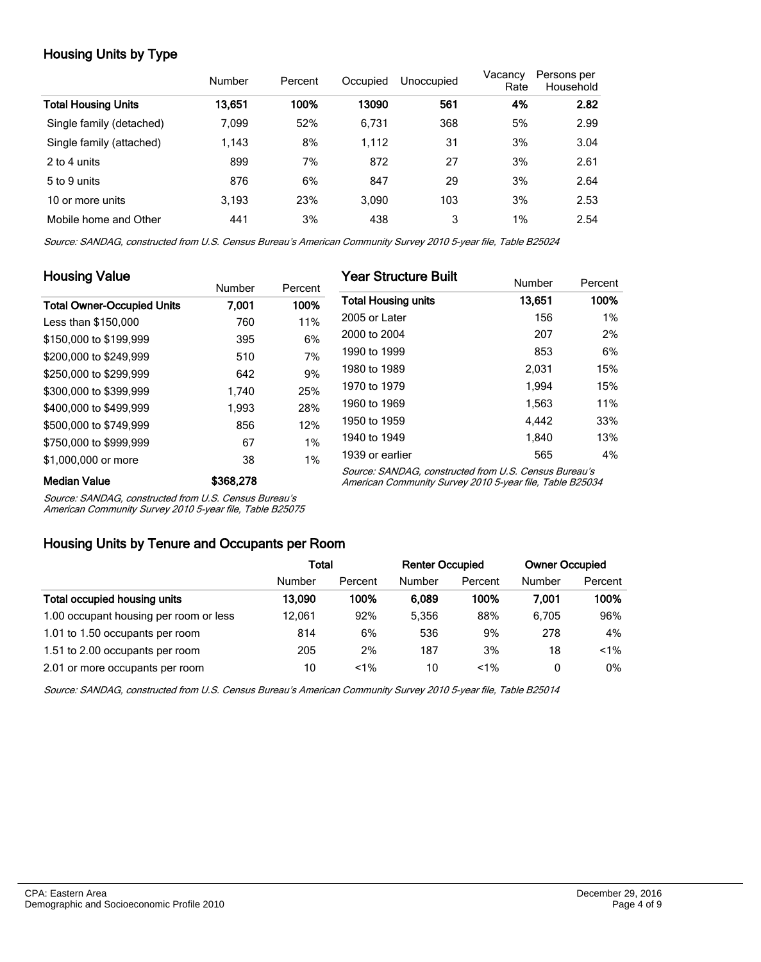## Housing Units by Type

|                            | Number | Percent | Occupied | Unoccupied | Vacancy<br>Rate | Persons per<br>Household |
|----------------------------|--------|---------|----------|------------|-----------------|--------------------------|
| <b>Total Housing Units</b> | 13.651 | 100%    | 13090    | 561        | 4%              | 2.82                     |
| Single family (detached)   | 7.099  | 52%     | 6,731    | 368        | 5%              | 2.99                     |
| Single family (attached)   | 1,143  | 8%      | 1,112    | 31         | 3%              | 3.04                     |
| 2 to 4 units               | 899    | 7%      | 872      | 27         | 3%              | 2.61                     |
| 5 to 9 units               | 876    | 6%      | 847      | 29         | 3%              | 2.64                     |
| 10 or more units           | 3,193  | 23%     | 3,090    | 103        | 3%              | 2.53                     |
| Mobile home and Other      | 441    | 3%      | 438      | 3          | 1%              | 2.54                     |

Source: SANDAG, constructed from U.S. Census Bureau's American Community Survey 2010 5-year file, Table B25024

| <b>Housing Value</b>              |           |         | <b>Year Structure Built</b>                                                                                       |        |         |
|-----------------------------------|-----------|---------|-------------------------------------------------------------------------------------------------------------------|--------|---------|
|                                   | Number    | Percent |                                                                                                                   | Number | Percent |
| <b>Total Owner-Occupied Units</b> | 7.001     | 100%    | <b>Total Housing units</b>                                                                                        | 13,651 | 100%    |
| Less than \$150,000               | 760       | 11%     | 2005 or Later                                                                                                     | 156    | 1%      |
| \$150,000 to \$199,999            | 395       | 6%      | 2000 to 2004                                                                                                      | 207    | 2%      |
| \$200,000 to \$249.999            | 510       | 7%      | 1990 to 1999                                                                                                      | 853    | 6%      |
| \$250,000 to \$299,999            | 642       | 9%      | 1980 to 1989                                                                                                      | 2.031  | 15%     |
| \$300,000 to \$399,999            | 1.740     | 25%     | 1970 to 1979                                                                                                      | 1.994  | 15%     |
| \$400,000 to \$499.999            | 1.993     | 28%     | 1960 to 1969                                                                                                      | 1,563  | 11%     |
| \$500,000 to \$749,999            | 856       | 12%     | 1950 to 1959                                                                                                      | 4.442  | 33%     |
| \$750,000 to \$999,999            | 67        | 1%      | 1940 to 1949                                                                                                      | 1.840  | 13%     |
| \$1,000,000 or more               | 38        | 1%      | 1939 or earlier                                                                                                   | 565    | 4%      |
| <b>Median Value</b>               | \$368,278 |         | Source: SANDAG, constructed from U.S. Census Bureau's<br>American Community Survey 2010 5-year file, Table B25034 |        |         |

Median Value \$368,278

Source: SANDAG, constructed from U.S. Census Bureau's

American Community Survey 2010 5-year file, Table B25075

#### Housing Units by Tenure and Occupants per Room

|                                        | Total  |         | <b>Renter Occupied</b> |         | <b>Owner Occupied</b> |         |
|----------------------------------------|--------|---------|------------------------|---------|-----------------------|---------|
|                                        | Number | Percent | Number                 | Percent | Number                | Percent |
| Total occupied housing units           | 13.090 | 100%    | 6.089                  | 100%    | 7.001                 | 100%    |
| 1.00 occupant housing per room or less | 12.061 | 92%     | 5.356                  | 88%     | 6.705                 | 96%     |
| 1.01 to 1.50 occupants per room        | 814    | 6%      | 536                    | 9%      | 278                   | 4%      |
| 1.51 to 2.00 occupants per room        | 205    | 2%      | 187                    | 3%      | 18                    | $< 1\%$ |
| 2.01 or more occupants per room        | 10     | $< 1\%$ | 10                     | $1\%$   | 0                     | $0\%$   |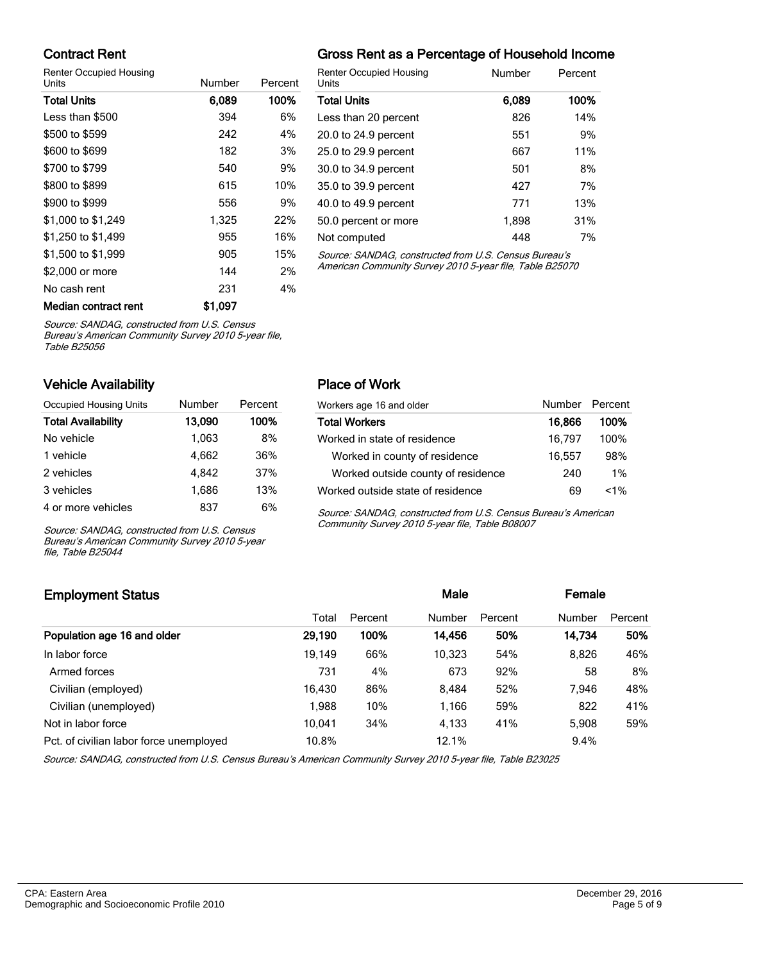#### Contract Rent

Renter Occupied Housing

| Units                | Number  | Percent |                          |
|----------------------|---------|---------|--------------------------|
| <b>Total Units</b>   | 6,089   | 100%    |                          |
| Less than \$500      | 394     | 6%      |                          |
| \$500 to \$599       | 242     | 4%      | '                        |
| \$600 to \$699       | 182     | 3%      | :                        |
| \$700 to \$799       | 540     | 9%      | $\ddot{\cdot}$           |
| \$800 to \$899       | 615     | 10%     | ί                        |
| \$900 to \$999       | 556     | 9%      | $\overline{\phantom{a}}$ |
| \$1,000 to \$1,249   | 1,325   | 22%     | ί                        |
| \$1,250 to \$1,499   | 955     | 16%     | I                        |
| \$1,500 to \$1,999   | 905     | 15%     |                          |
| \$2,000 or more      | 144     | 2%      | I                        |
| No cash rent         | 231     | 4%      |                          |
| Median contract rent | \$1,097 |         |                          |

### Gross Rent as a Percentage of Household Income

| <b>Renter Occupied Housing</b><br>Units               | Number | Percent |
|-------------------------------------------------------|--------|---------|
| <b>Total Units</b>                                    | 6,089  | 100%    |
| Less than 20 percent                                  | 826    | 14%     |
| 20.0 to 24.9 percent                                  | 551    | 9%      |
| 25.0 to 29.9 percent                                  | 667    | 11%     |
| 30.0 to 34.9 percent                                  | 501    | 8%      |
| 35.0 to 39.9 percent                                  | 427    | 7%      |
| 40.0 to 49.9 percent                                  | 771    | 13%     |
| 50.0 percent or more                                  | 1.898  | 31%     |
| Not computed                                          | 448    | 7%      |
| Source: SANDAG, constructed from U.S. Census Bureau's |        |         |

Source: SANDAG, constructed from U.S. Census Bureau's American Community Survey 2010 5-year file, Table B25070

Source: SANDAG, constructed from U.S. Census

Bureau's American Community Survey 2010 5-year file, Table B25056

#### Vehicle Availability

| Occupied Housing Units    | Number | Percent |
|---------------------------|--------|---------|
| <b>Total Availability</b> | 13,090 | 100%    |
| No vehicle                | 1,063  | 8%      |
| 1 vehicle                 | 4.662  | 36%     |
| 2 vehicles                | 4.842  | 37%     |
| 3 vehicles                | 1,686  | 13%     |
| 4 or more vehicles        | 837    | 6%      |

Source: SANDAG, constructed from U.S. Census Bureau's American Community Survey 2010 5-year file, Table B25044

#### Place of Work

| Workers age 16 and older           | Number Percent |         |
|------------------------------------|----------------|---------|
| <b>Total Workers</b>               | 16,866         | 100%    |
| Worked in state of residence       | 16.797         | $100\%$ |
| Worked in county of residence      | 16.557         | 98%     |
| Worked outside county of residence | 240            | $1\%$   |
| Worked outside state of residence  | 69             | $< 1\%$ |

Source: SANDAG, constructed from U.S. Census Bureau's American Community Survey 2010 5-year file, Table B08007

## Employment Status **Employment Status Male Employment Status Male Employment Status Male Employment Status** Total Percent Number Percent Number Percent Population age 16 and older 29,190 100% 14,456 50% 14,734 50% In labor force 19,149 66% 10,323 54% 8,826 46% Armed forces 673 673 673 92% 58 8% Civilian (employed) 16,430 86% 8,484 52% 7,946 48% Civilian (unemployed) 1,988 10% 1,166 59% 822 41% Not in labor force **10,041** 34% 4,133 41% 5,908 59% Pct. of civilian labor force unemployed 10.8% 12.1% 12.1% 12.1% 12.1% 12.1% 12.1% 12.1% 12.1% 12.1% 12.1% 12.1% 12.1% 12.1% 12.1% 12.1% 12.1% 12.1% 12.1% 12.1% 12.1% 12.1% 12.1% 12.1% 12.1% 12.1% 12.1% 12.1% 12.1% 12.1% 12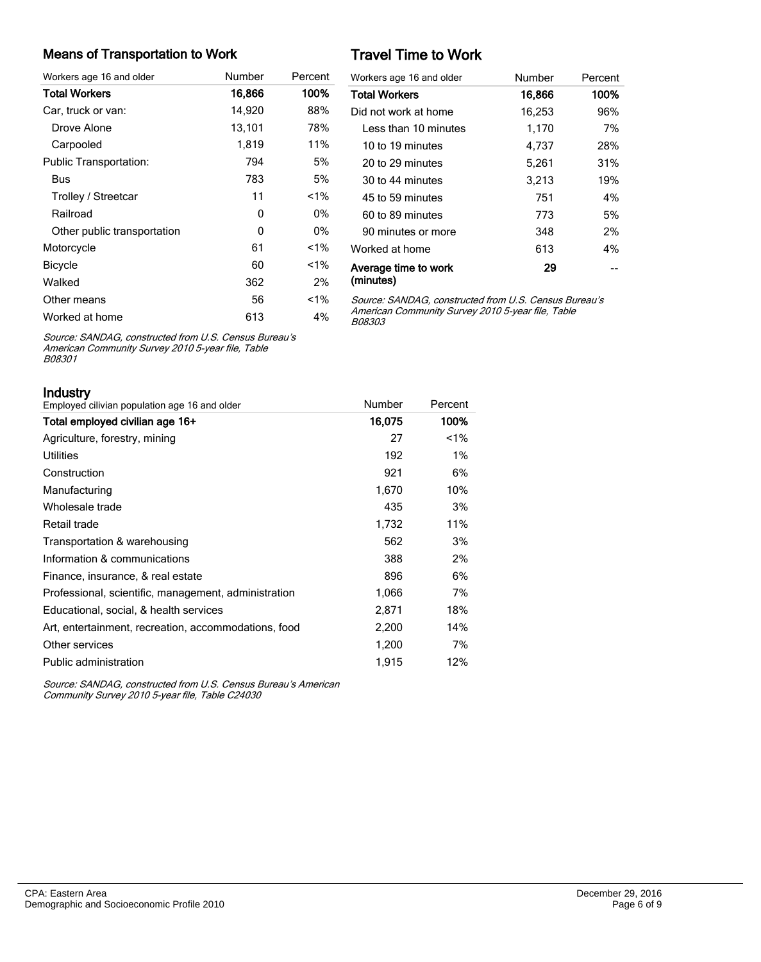#### Means of Transportation to Work

| Workers age 16 and older      | Number | Percent |
|-------------------------------|--------|---------|
| <b>Total Workers</b>          | 16,866 | 100%    |
| Car, truck or van:            | 14,920 | 88%     |
| Drove Alone                   | 13,101 | 78%     |
| Carpooled                     | 1,819  | 11%     |
| <b>Public Transportation:</b> | 794    | 5%      |
| Bus                           | 783    | 5%      |
| Trolley / Streetcar           | 11     | $< 1\%$ |
| Railroad                      | 0      | 0%      |
| Other public transportation   | 0      | 0%      |
| Motorcycle                    | 61     | $1\%$   |
| <b>Bicycle</b>                | 60     | $< 1\%$ |
| Walked                        | 362    | 2%      |
| Other means                   | 56     | $< 1\%$ |
| Worked at home                | 613    | 4%      |

# Travel Time to Work

| Workers age 16 and older          | Number | Percent |
|-----------------------------------|--------|---------|
| <b>Total Workers</b>              | 16,866 | 100%    |
| Did not work at home              | 16,253 | 96%     |
| Less than 10 minutes              | 1,170  | 7%      |
| 10 to 19 minutes                  | 4,737  | 28%     |
| 20 to 29 minutes                  | 5,261  | 31%     |
| 30 to 44 minutes                  | 3,213  | 19%     |
| 45 to 59 minutes                  | 751    | 4%      |
| 60 to 89 minutes                  | 773    | 5%      |
| 90 minutes or more                | 348    | 2%      |
| Worked at home                    | 613    | 4%      |
| Average time to work<br>(minutes) | 29     |         |

Source: SANDAG, constructed from U.S. Census Bureau's American Community Survey 2010 5-year file, Table B08303

Source: SANDAG, constructed from U.S. Census Bureau's American Community Survey 2010 5-year file, Table B08301

| Industry                                             |        |         |
|------------------------------------------------------|--------|---------|
| Employed cilivian population age 16 and older        | Number | Percent |
| Total employed civilian age 16+                      | 16,075 | 100%    |
| Agriculture, forestry, mining                        | 27     | $< 1\%$ |
| Utilities                                            | 192    | $1\%$   |
| Construction                                         | 921    | 6%      |
| Manufacturing                                        | 1,670  | 10%     |
| Wholesale trade                                      | 435    | 3%      |
| Retail trade                                         | 1,732  | 11%     |
| Transportation & warehousing                         | 562    | 3%      |
| Information & communications                         | 388    | 2%      |
| Finance, insurance, & real estate                    | 896    | 6%      |
| Professional, scientific, management, administration | 1,066  | 7%      |
| Educational, social, & health services               | 2,871  | 18%     |
| Art, entertainment, recreation, accommodations, food | 2,200  | 14%     |
| Other services                                       | 1,200  | 7%      |
| Public administration                                | 1,915  | 12%     |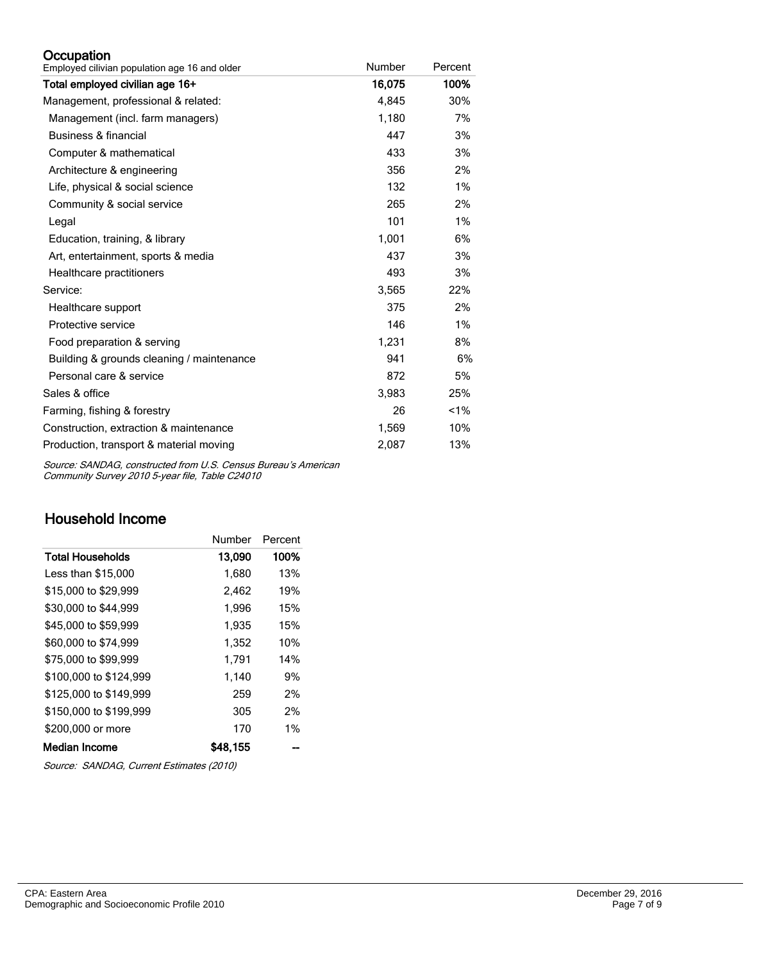#### **Occupation**

| Employed cilivian population age 16 and older | Number | Percent |
|-----------------------------------------------|--------|---------|
| Total employed civilian age 16+               | 16,075 | 100%    |
| Management, professional & related:           | 4,845  | 30%     |
| Management (incl. farm managers)              | 1,180  | 7%      |
| Business & financial                          | 447    | 3%      |
| Computer & mathematical                       | 433    | 3%      |
| Architecture & engineering                    | 356    | 2%      |
| Life, physical & social science               | 132    | 1%      |
| Community & social service                    | 265    | 2%      |
| Legal                                         | 101    | 1%      |
| Education, training, & library                | 1,001  | 6%      |
| Art, entertainment, sports & media            | 437    | 3%      |
| Healthcare practitioners                      | 493    | 3%      |
| Service:                                      | 3,565  | 22%     |
| Healthcare support                            | 375    | 2%      |
| Protective service                            | 146    | 1%      |
| Food preparation & serving                    | 1,231  | 8%      |
| Building & grounds cleaning / maintenance     | 941    | 6%      |
| Personal care & service                       | 872    | 5%      |
| Sales & office                                | 3,983  | 25%     |
| Farming, fishing & forestry                   | 26     | 1%      |
| Construction, extraction & maintenance        | 1,569  | 10%     |
| Production, transport & material moving       | 2,087  | 13%     |

Source: SANDAG, constructed from U.S. Census Bureau's American Community Survey 2010 5-year file, Table C24010

## Household Income

|                        | Number   | Percent |
|------------------------|----------|---------|
| Total Households       | 13,090   | 100%    |
| Less than \$15,000     | 1,680    | 13%     |
| \$15,000 to \$29,999   | 2,462    | 19%     |
| \$30,000 to \$44,999   | 1,996    | 15%     |
| \$45,000 to \$59,999   | 1.935    | 15%     |
| \$60,000 to \$74,999   | 1,352    | 10%     |
| \$75,000 to \$99.999   | 1.791    | 14%     |
| \$100,000 to \$124.999 | 1,140    | 9%      |
| \$125,000 to \$149.999 | 259      | 2%      |
| \$150,000 to \$199,999 | 305      | 2%      |
| \$200,000 or more      | 170      | 1%      |
| Median Income          | \$48.155 |         |

Source: SANDAG, Current Estimates (2010)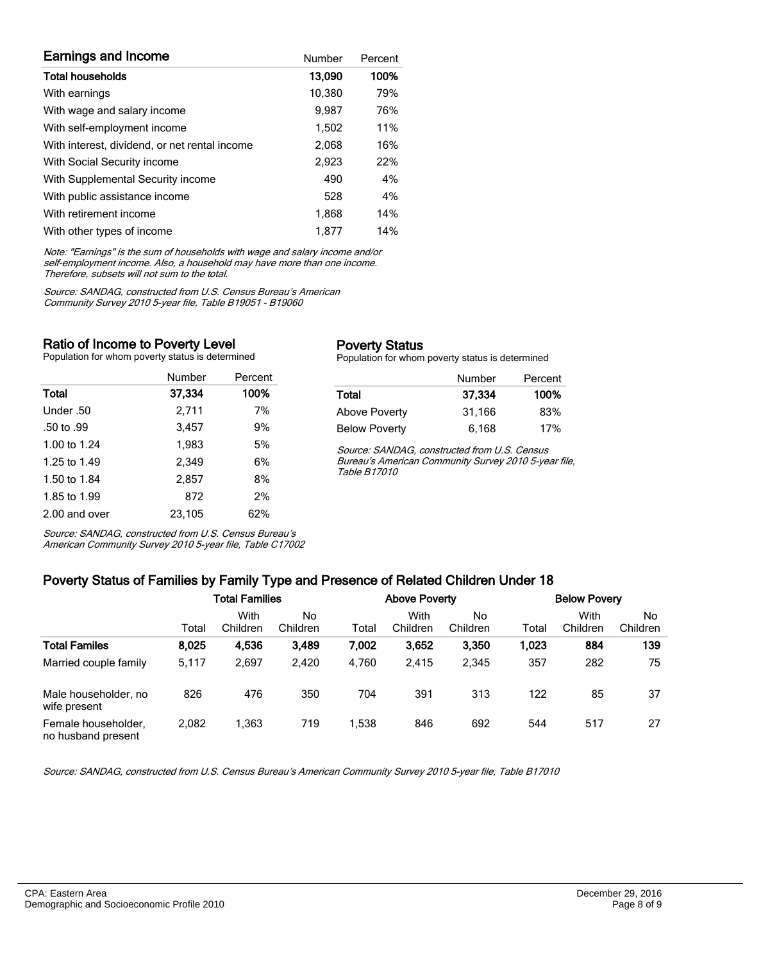| <b>Earnings and Income</b>                    | Number | Percent |
|-----------------------------------------------|--------|---------|
| <b>Total households</b>                       | 13,090 | 100%    |
| With earnings                                 | 10,380 | 79%     |
| With wage and salary income                   | 9,987  | 76%     |
| With self-employment income                   | 1,502  | 11%     |
| With interest, dividend, or net rental income | 2,068  | 16%     |
| With Social Security income                   | 2,923  | 22%     |
| With Supplemental Security income             | 490    | 4%      |
| With public assistance income                 | 528    | 4%      |
| With retirement income                        | 1.868  | 14%     |
| With other types of income                    | 1.877  | 14%     |

Note: "Earnings" is the sum of households with wage and salary income and/or self-employment income. Also, a household may have more than one income. Therefore, subsets will not sum to the total.

Source: SANDAG, constructed from U.S. Census Bureau's American Community Survey 2010 5-year file, Table B19051 - B19060

#### Ratio of Income to Poverty Level

Population for whom poverty status is determined

|               | Number | Percent |
|---------------|--------|---------|
| Total         | 37,334 | 100%    |
| Under .50     | 2,711  | 7%      |
| .50 to .99    | 3.457  | 9%      |
| 1.00 to 1.24  | 1,983  | 5%      |
| 1.25 to 1.49  | 2.349  | 6%      |
| 1.50 to 1.84  | 2.857  | 8%      |
| 1.85 to 1.99  | 872    | 2%      |
| 2.00 and over | 23.105 | 62%     |

Source: SANDAG, constructed from U.S. Census Bureau's American Community Survey 2010 5-year file, Table C17002

#### Poverty Status

Population for whom poverty status is determined

|                      | Number | Percent |
|----------------------|--------|---------|
| Total                | 37.334 | 100%    |
| <b>Above Poverty</b> | 31,166 | 83%     |
| <b>Below Poverty</b> | 6,168  | 17%     |

Source: SANDAG, constructed from U.S. Census Bureau's American Community Survey 2010 5-year file, Table B17010

# Poverty Status of Families by Family Type and Presence of Related Children Under 18

|                                           | . .                   |                  |                |                      |                  |                |                     |                  |                |
|-------------------------------------------|-----------------------|------------------|----------------|----------------------|------------------|----------------|---------------------|------------------|----------------|
|                                           | <b>Total Families</b> |                  |                | <b>Above Poverty</b> |                  |                | <b>Below Povery</b> |                  |                |
|                                           | Total                 | With<br>Children | No<br>Children | Total                | With<br>Children | No<br>Children | Total               | With<br>Children | No<br>Children |
| <b>Total Familes</b>                      | 8,025                 | 4,536            | 3,489          | 7,002                | 3.652            | 3,350          | 1,023               | 884              | 139            |
| Married couple family                     | 5,117                 | 2,697            | 2.420          | 4.760                | 2,415            | 2,345          | 357                 | 282              | 75             |
| Male householder, no<br>wife present      | 826                   | 476              | 350            | 704                  | 391              | 313            | 122                 | 85               | 37             |
| Female householder,<br>no husband present | 2,082                 | .363             | 719            | 1,538                | 846              | 692            | 544                 | 517              | 27             |